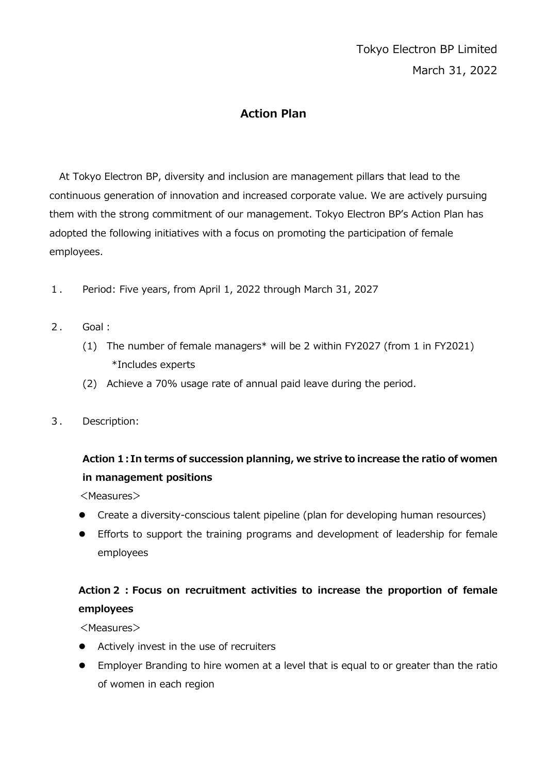### **Action Plan**

At Tokyo Electron BP, diversity and inclusion are management pillars that lead to the continuous generation of innovation and increased corporate value. We are actively pursuing them with the strong commitment of our management. Tokyo Electron BP's Action Plan has adopted the following initiatives with a focus on promoting the participation of female employees.

- 1. Period: Five years, from April 1, 2022 through March 31, 2027
- 2. Goal:
	- (1) The number of female managers\* will be 2 within FY2027 (from 1 in FY2021) \*Includes experts
	- (2) Achieve a 70% usage rate of annual paid leave during the period.
- 3. Description:

## **Action 1:In terms of succession planning, we strive to increase the ratio of women in management positions**

<Measures>

- Create a diversity-conscious talent pipeline (plan for developing human resources)
- Efforts to support the training programs and development of leadership for female employees

### **Action2:Focus on recruitment activities to increase the proportion of female employees**

<Measures>

- Actively invest in the use of recruiters
- Employer Branding to hire women at a level that is equal to or greater than the ratio of women in each region